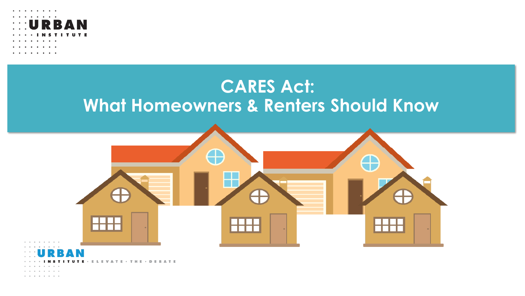

### **CARES Act: What Homeowners & Renters Should Know**



and a series of the con-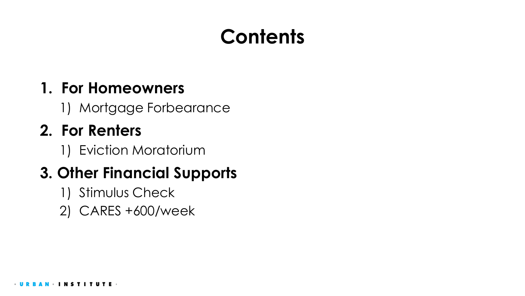# **Contents**

#### **1. For Homeowners**

1) Mortgage Forbearance

### **2. For Renters**

1) Eviction Moratorium

### **3. Other Financial Supports**

- 1) Stimulus Check
- 2) CARES +600/week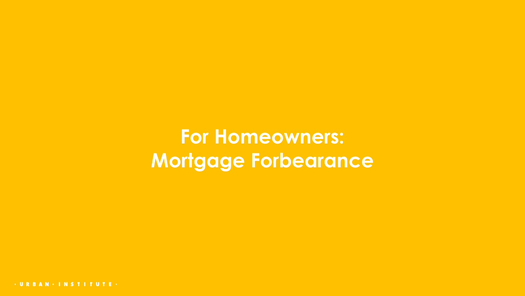**For Homeowners: Mortgage Forbearance**

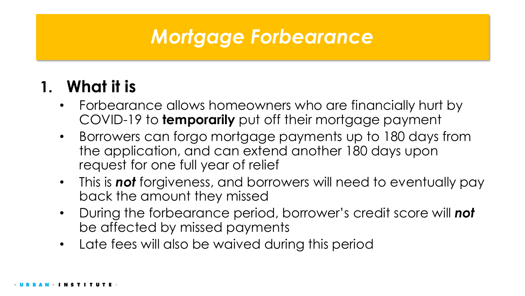### **1. What it is**

- Forbearance allows homeowners who are financially hurt by COVID-19 to **temporarily** put off their mortgage payment
- Borrowers can forgo mortgage payments up to 180 days from the application, and can extend another 180 days upon request for one full year of relief
- This is *not* forgiveness, and borrowers will need to eventually pay back the amount they missed
- During the forbearance period, borrower's credit score will *not* be affected by missed payments
- Late fees will also be waived during this period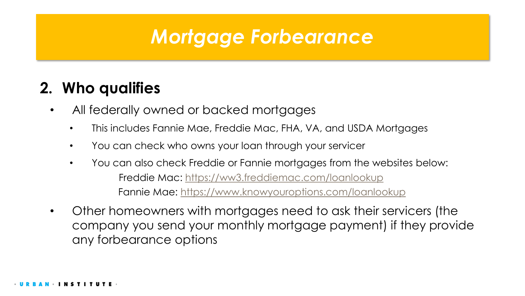#### **2. Who qualifies**

- All federally owned or backed mortgages
	- This includes Fannie Mae, Freddie Mac, FHA, VA, and USDA Mortgages
	- You can check who owns your loan through your servicer
	- You can also check Freddie or Fannie mortgages from the websites below: Freddie Mac: <https://ww3.freddiemac.com/loanlookup> Fannie Mae: <https://www.knowyouroptions.com/loanlookup>
- Other homeowners with mortgages need to ask their servicers (the company you send your monthly mortgage payment) if they provide any forbearance options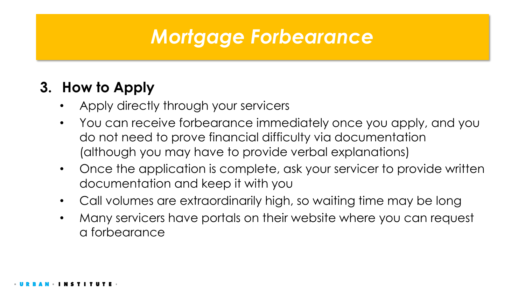#### **3. How to Apply**

- Apply directly through your servicers
- You can receive forbearance immediately once you apply, and you do not need to prove financial difficulty via documentation (although you may have to provide verbal explanations)
- Once the application is complete, ask your servicer to provide written documentation and keep it with you
- Call volumes are extraordinarily high, so waiting time may be long
- Many servicers have portals on their website where you can request a forbearance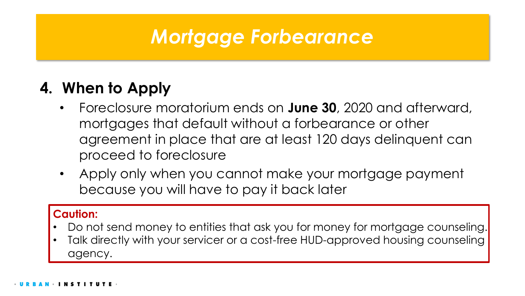### **4. When to Apply**

- Foreclosure moratorium ends on **June 30**, 2020 and afterward, mortgages that default without a forbearance or other agreement in place that are at least 120 days delinquent can proceed to foreclosure
- Apply only when you cannot make your mortgage payment because you will have to pay it back later

#### **Caution:**

- Do not send money to entities that ask you for money for mortgage counseling.
- Talk directly with your servicer or a cost-free HUD-approved housing counseling agency.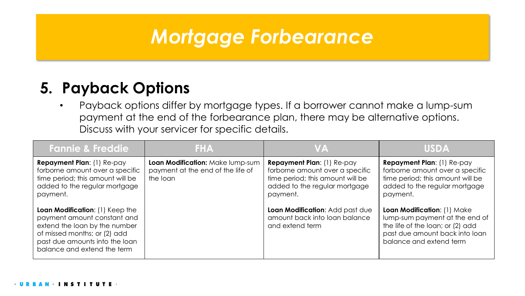#### **5. Payback Options**

• Payback options differ by mortgage types. If a borrower cannot make a lump-sum payment at the end of the forbearance plan, there may be alternative options. Discuss with your servicer for specific details.

| <b>Fannie &amp; Freddie</b>                                                                                                                                                                      | <b>FHA</b>                                                                        | <b>VA</b>                                                                                                                                             | <b>USDA</b>                                                                                                                                                    |
|--------------------------------------------------------------------------------------------------------------------------------------------------------------------------------------------------|-----------------------------------------------------------------------------------|-------------------------------------------------------------------------------------------------------------------------------------------------------|----------------------------------------------------------------------------------------------------------------------------------------------------------------|
| <b>Repayment Plan: (1) Re-pay</b><br>forborne amount over a specific<br>time period; this amount will be<br>added to the regular mortgage<br>payment.                                            | Loan Modification: Make lump-sum<br>payment at the end of the life of<br>the loan | <b>Repayment Plan: (1) Re-pay</b><br>forborne amount over a specific<br>time period; this amount will be<br>added to the regular mortgage<br>payment. | <b>Repayment Plan: (1) Re-pay</b><br>forborne amount over a specific<br>time period; this amount will be<br>added to the regular mortgage<br>payment.          |
| Loan Modification: (1) Keep the<br>payment amount constant and<br>extend the loan by the number<br>of missed months; or (2) add<br>past due amounts into the loan<br>balance and extend the term |                                                                                   | Loan Modification: Add past due<br>amount back into loan balance<br>and extend term                                                                   | Loan Modification: (1) Make<br>lump-sum payment at the end of<br>the life of the loan; or (2) add<br>past due amount back into loan<br>balance and extend term |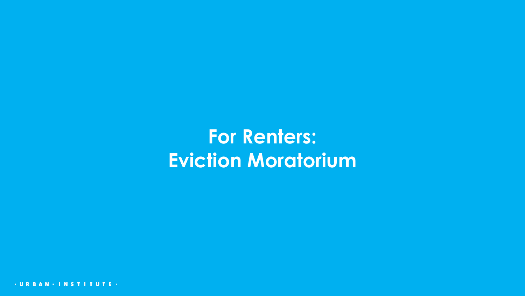# **For Renters: Eviction Moratorium**

 $-$  U R **NSTITUTE-**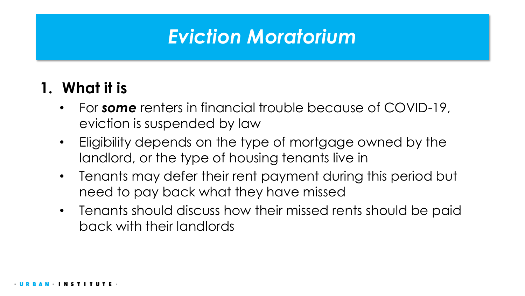## *Eviction Moratorium*

#### **1. What it is**

- For *some* renters in financial trouble because of COVID-19, eviction is suspended by law
- Eligibility depends on the type of mortgage owned by the landlord, or the type of housing tenants live in
- Tenants may defer their rent payment during this period but need to pay back what they have missed
- Tenants should discuss how their missed rents should be paid back with their landlords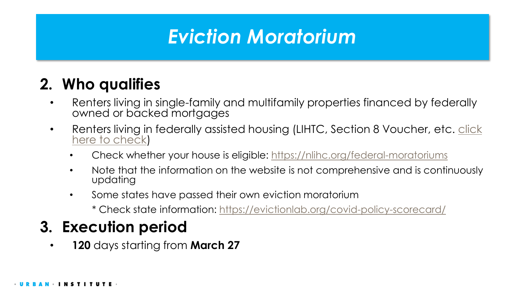# *Eviction Moratorium*

### **2. Who qualifies**

- Renters living in single-family and multifamily properties financed by federally owned or backed mortgages
- Renters living in federally assisted housing (LIHTC, Section 8 Voucher, etc. click here to check)
	- Check whether your house is eligible: <https://nlihc.org/federal-moratoriums>
	- Note that the information on the website is not comprehensive and is continuously updating
	- Some states have passed their own eviction moratorium
		- \* Check state information:<https://evictionlab.org/covid-policy-scorecard/>

### **3. Execution period**

• **120** days starting from **March 27**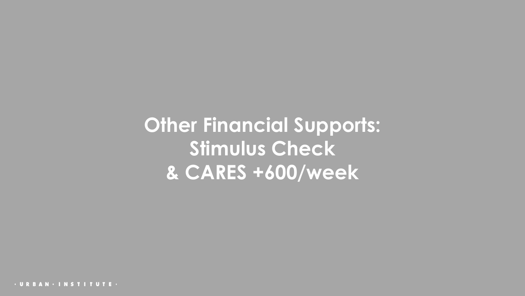**Other Financial Supports: Stimulus Check & CARES +600/week**

· URBAN · INSTITUTE ·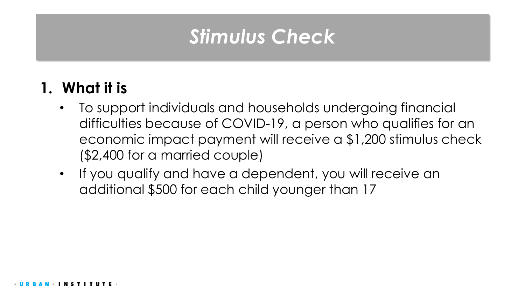### **1. What it is**

- To support individuals and households undergoing financial difficulties because of COVID-19, a person who qualifies for an economic impact payment will receive a \$1,200 stimulus check (\$2,400 for a married couple)
- If you qualify and have a dependent, you will receive an additional \$500 for each child younger than 17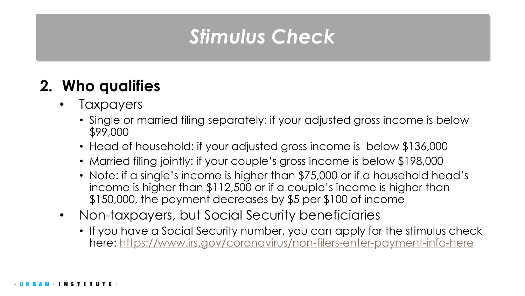### **2. Who qualifies**

- **Taxpayers** 
	- Single or married filing separately: if your adjusted gross income is below \$99,000
	- Head of household: if your adjusted gross income is below \$136,000
	- Married filing jointly: if your couple's gross income is below \$198,000
	- Note: if a single's income is higher than \$75,000 or if a household head's income is higher than \$112,500 or if a couple's income is higher than \$150,000, the payment decreases by \$5 per \$100 of income
- Non-taxpayers, but Social Security beneficiaries
	- If you have a Social Security number, you can apply for the stimulus check here:<https://www.irs.gov/coronavirus/non-filers-enter-payment-info-here>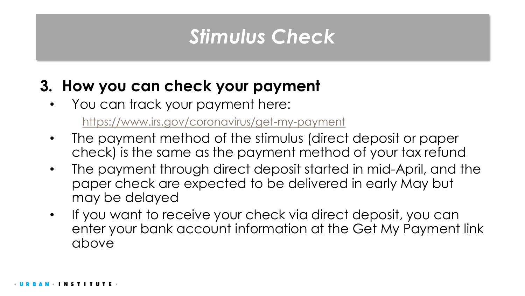### **3. How you can check your payment**

• You can track your payment here:

<https://www.irs.gov/coronavirus/get-my-payment>

- The payment method of the stimulus (direct deposit or paper check) is the same as the payment method of your tax refund
- The payment through direct deposit started in mid-April, and the paper check are expected to be delivered in early May but may be delayed
- If you want to receive your check via direct deposit, you can enter your bank account information at the Get My Payment link above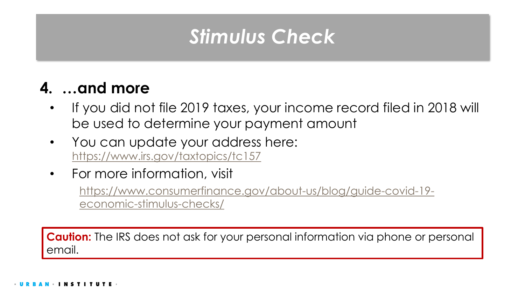### **4. …and more**

- If you did not file 2019 taxes, your income record filed in 2018 will be used to determine your payment amount
- You can update your address here: <https://www.irs.gov/taxtopics/tc157>
- For more information, visit

[https://www.consumerfinance.gov/about-us/blog/guide-covid-19](https://www.consumerfinance.gov/about-us/blog/guide-covid-19-economic-stimulus-checks/) economic-stimulus-checks/

**Caution:** The IRS does not ask for your personal information via phone or personal email.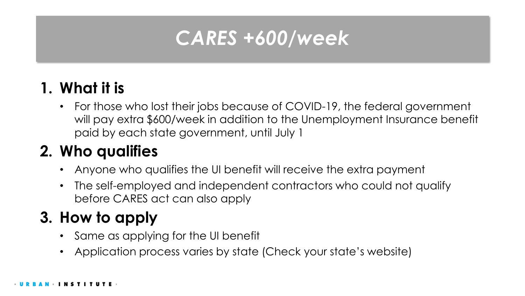# *CARES +600/week*

### **1. What it is**

• For those who lost their jobs because of COVID-19, the federal government will pay extra \$600/week in addition to the Unemployment Insurance benefit paid by each state government, until July 1

### **2. Who qualifies**

- Anyone who qualifies the UI benefit will receive the extra payment
- The self-employed and independent contractors who could not qualify before CARES act can also apply

### **3. How to apply**

- Same as applying for the UI benefit
- Application process varies by state (Check your state's website)